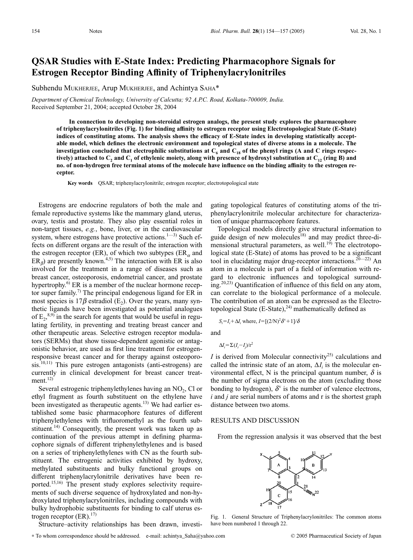# **QSAR Studies with E-State Index: Predicting Pharmacophore Signals for Estrogen Receptor Binding Affinity of Triphenylacrylonitriles**

Subhendu MUKHERJEE, Arup MUKHERJEE, and Achintya SAHA\*

*Department of Chemical Technology, University of Calcutta; 92 A.P.C. Road, Kolkata-700009, India.* Received September 21, 2004; accepted October 28, 2004

**In connection to developing non-steroidal estrogen analogs, the present study explores the pharmacophore of triphenylacrylonitriles (Fig. 1) for binding affinity to estrogen receptor using Electrotopological State (E-State) indices of constituting atoms. The analysis shows the efficacy of E-State index in developing statistically acceptable model, which defines the electronic environment and topological states of diverse atoms in a molecule. The** investigation concluded that electrophilic substitutions at  $C_6$  and  $C_{18}$  of the phenyl rings (A and C rings respectively) attached to  $C_2$  and  $C_1$  of ethylenic moiety, along with presence of hydroxyl substitution at  $C_{12}$  (ring B) and **no. of non-hydrogen free terminal atoms of the molecule have influence on the binding affinity to the estrogen receptor.**

**Key words** QSAR; triphenylacrylonitrile; estrogen receptor; electrotopological state

Estrogens are endocrine regulators of both the male and female reproductive systems like the mammary gland, uterus, ovary, testis and prostate. They also play essential roles in non-target tissues, *e.g.*, bone, liver, or in the cardiovascular system, where estrogens have protective actions. $1-3$ ) Such effects on different organs are the result of the interaction with the estrogen receptor (ER), of which two subtypes (ER $_{\alpha}$  and  $ER_{\beta}$ ) are presently known.<sup>4,5)</sup> The interaction with ER is also involved for the treatment in a range of diseases such as breast cancer, osteoporosis, endometrial cancer, and prostate hypertrophy.<sup>6)</sup> ER is a member of the nuclear hormone receptor super family.<sup>7)</sup> The principal endogenous ligand for ER in most species is  $17\beta$  estradiol (E<sub>2</sub>). Over the years, many synthetic ligands have been investigated as potential analogues of  $E_2$ ,<sup>8,9)</sup> in the search for agents that would be useful in regulating fertility, in preventing and treating breast cancer and other therapeutic areas. Selective estrogen receptor modulators (SERMs) that show tissue-dependent agonistic or antagonistic behavior, are used as first line treatment for estrogenresponsive breast cancer and for therapy against osteoporo $sis.^{10,11)}$  This pure estrogen antagonists (anti-estrogens) are currently in clinical development for breast cancer treat $ment.<sup>12)</sup>$ 

Several estrogenic triphenylethylenes having an  $NO<sub>2</sub>$ , Cl or ethyl fragment as fourth substituent on the ethylene have been investigated as therapeutic agents.<sup>13)</sup> We had earlier established some basic pharmacophore features of different triphenylethylenes with trifluoromethyl as the fourth substituent.<sup>14)</sup> Consequently, the present work was taken up as continuation of the previous attempt in defining pharmacophore signals of different triphenylethylenes and is based on a series of triphenylethylenes with CN as the fourth substituent. The estrogenic activities exhibited by hydroxy, methylated substituents and bulky functional groups on different triphenylacrylonitrile derivatives have been reported.<sup>15,16)</sup> The present study explores selectivity requirements of such diverse sequence of hydroxylated and non-hydroxylated triphenylacrylonitriles, including compounds with bulky hydrophobic substituents for binding to calf uterus estrogen receptor (ER).<sup>17)</sup>

gating topological features of constituting atoms of the triphenylacrylonitrile molecular architecture for characterization of unique pharmacophore features.

Topological models directly give structural information to guide design of new molecules<sup>18)</sup> and may predict three-dimensional structural parameters, as well.<sup>19)</sup> The electrotopological state (E-State) of atoms has proved to be a significant tool in elucidating major drug-receptor interactions.<sup>20—22)</sup> An atom in a molecule is part of a field of information with regard to electronic influences and topological surrounding.20,23) Quantification of influence of this field on any atom, can correlate to the biological performance of a molecule. The contribution of an atom can be expressed as the Electrotopological State  $(E-State)$ ,<sup>24)</sup> mathematically defined as

$$
S_i = I_i + \Delta I_i
$$
 where,  $I = [(2/N)^2 \delta^v + 1]/\delta$ 

and

$$
\Delta I_i = \sum (I_i - I_j)/r^2
$$

*I* is derived from Molecular connectivity<sup>25)</sup> calculations and called the intrinsic state of an atom,  $\Delta I_i$  is the molecular environmental effect, N is the principal quantum number,  $\delta$  is the number of sigma electrons on the atom (excluding those bonding to hydrogen),  $\delta^v$  is the number of valence electrons, *i* and *j* are serial numbers of atoms and r is the shortest graph distance between two atoms.

#### RESULTS AND DISCUSSION

From the regression analysis it was observed that the best



Fig. 1. General Structure of Triphenylacrylonitriles: The common atoms have been numbered 1 through 22.

Structure–activity relationships has been drawn, investi-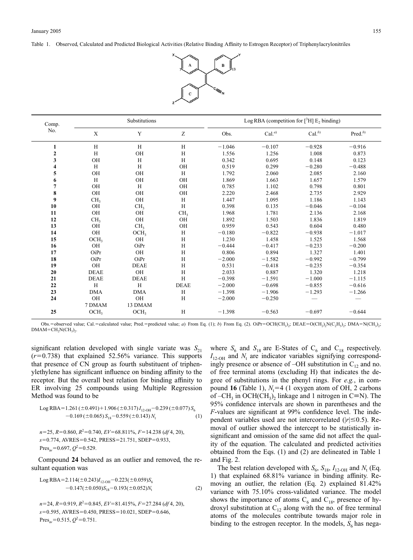Table 1. Observed, Calculated and Predicted Biological Activities (Relative Binding Affinity to Estrogen Receptor) of Triphenylacrylonitriles



| Comp.<br>No.     | Substitutions              |                             |                 | Log RBA (competition for $[^{3}H]$ E <sub>2</sub> binding) |                   |             |                     |
|------------------|----------------------------|-----------------------------|-----------------|------------------------------------------------------------|-------------------|-------------|---------------------|
|                  | $\mathbf X$                | Y                           | Z               | Obs.                                                       | Cal. <sup>a</sup> | $Cal.^{b)}$ | Pred. <sup>b)</sup> |
| 1                | H                          | H                           | H               | $-1.046$                                                   | $-0.107$          | $-0.928$    | $-0.916$            |
| $\boldsymbol{2}$ | H                          | <b>OH</b>                   | H               | 1.556                                                      | 1.256             | 1.008       | 0.873               |
| 3                | OH                         | H                           | H               | 0.342                                                      | 0.695             | 0.148       | 0.123               |
| 4                | H                          | H                           | <b>OH</b>       | 0.519                                                      | 0.299             | $-0.280$    | $-0.488$            |
| 5                | OH                         | <b>OH</b>                   | H               | 1.792                                                      | 2.060             | 2.085       | 2.160               |
| 6                | H                          | OH                          | <b>OH</b>       | 1.869                                                      | 1.663             | 1.657       | 1.579               |
| 7                | OH                         | H                           | <b>OH</b>       | 0.785                                                      | 1.102             | 0.798       | 0.801               |
| 8                | OH                         | OH                          | OH              | 2.220                                                      | 2.468             | 2.735       | 2.929               |
| 9                | CH <sub>3</sub>            | OH                          | H               | 1.447                                                      | 1.095             | 1.186       | 1.143               |
| 10               | <b>OH</b>                  | CH <sub>3</sub>             | H               | 0.398                                                      | 0.135             | $-0.046$    | $-0.104$            |
| 11               | OH                         | OH                          | CH <sub>3</sub> | 1.968                                                      | 1.781             | 2.136       | 2.168               |
| 12               | CH <sub>3</sub>            | OH                          | <b>OH</b>       | 1.892                                                      | 1.503             | 1.836       | 1.819               |
| 13               | <b>OH</b>                  | CH <sub>3</sub>             | OH              | 0.959                                                      | 0.543             | 0.604       | 0.480               |
| 14               | OH                         | OCH <sub>3</sub>            | H               | $-0.180$                                                   | $-0.822$          | $-0.938$    | $-1.017$            |
| 15               | OCH <sub>3</sub>           | OH                          | H               | 1.230                                                      | 1.458             | 1.525       | 1.568               |
| 16               | OH                         | OiPr                        | H               | $-0.444$                                                   | $-0.417$          | $-0.233$    | $-0.200$            |
| 17               | OiPr                       | <b>OH</b>                   | H               | 0.806                                                      | 0.894             | 1.327       | 1.401               |
| 18               | OiPr                       | OiPr                        | H               | $-2.000$                                                   | $-1.582$          | $-0.992$    | $-0.799$            |
| 19               | OH                         | <b>DEAE</b>                 | H               | 0.531                                                      | $-0.418$          | $-0.235$    | $-0.354$            |
| 20               | <b>DEAE</b>                | <b>OH</b>                   | H               | 2.033                                                      | 0.887             | 1.320       | 1.218               |
| 21               | <b>DEAE</b>                | <b>DEAE</b>                 | H               | $-0.398$                                                   | $-1.591$          | $-1.000$    | $-1.115$            |
| 22               | H                          | H                           | <b>DEAE</b>     | $-2.000$                                                   | $-0.698$          | $-0.855$    | $-0.616$            |
| 23               | <b>DMA</b>                 | <b>DMA</b>                  | H               | $-1.398$                                                   | $-1.906$          | $-1.293$    | $-1.266$            |
| 24               | OH                         | <b>OH</b>                   | H               | $-2.000$                                                   | $-0.250$          |             |                     |
| 25               | 7 DMAM<br>OCH <sub>3</sub> | 13 DMAM<br>OCH <sub>3</sub> | H               | $-1.398$                                                   | $-0.563$          | $-0.697$    | $-0.644$            |

Obs.=observed value; Cal.=calculated value; Pred.=predicted value; *a*) From Eq. (1); *b*) From Eq. (2). OiPr=OCH(CH<sub>3</sub>); DEAE=O(CH<sub>2</sub>)<sub>2</sub>; DMA=N(CH<sub>3</sub>)<sub>2</sub>;  $DMAM = CH<sub>2</sub>N(CH<sub>3</sub>)<sub>2</sub>$ .

significant relation developed with single variate was  $S_{21}$  $(r=0.738)$  that explained 52.56% variance. This supports that presence of CN group as fourth substituent of triphenylethylene has significant influence on binding affinity to the receptor. But the overall best relation for binding affinity to ER involving 25 compounds using Multiple Regression Method was found to be

Log RBA=1.261 (±0.491)+1.906 (±0.317) 
$$
I_{12\text{-OH}} - 0.239
$$
 (±0.077)  $S_6$   
-0.169 (±0.065)  $S_{18} - 0.559$  (±0.143)  $N_t$  (1)

$$
n=25, R=0.860, R2=0.740, EV=68.811%, F=14.238 (df4, 20),s=0.774, AVRES=0.542, PRESS=21.751, SDEP=0.933,Presav=0.697, Q2=0.529.
$$

Compound **24** behaved as an outlier and removed, the resultant equation was

Log RBA=2.114(
$$
\pm
$$
0.243) $I_{12\t0H}$ =0.223( $\pm$ 0.059) $S_6$   
-0.147( $\pm$ 0.050) $S_{18}$ =0.193( $\pm$ 0.052) $N_t$  (2)

*n*=24, *R*=0.919, *R*<sup>2</sup>=0.845, *EV*=81.415%, *F*=27.284 (*df* 4, 20), *s*=0.595, AVRES=0.450, PRESS=10.021, SDEP=0.646, Pres<sub>av</sub>=0.515,  $Q^2$ =0.751.

where  $S_6$  and  $S_{18}$  are E-States of  $C_6$  and  $C_{18}$  respectively.  $I_{12\text{-OH}}$  and  $N_t$  are indicator variables signifying correspondingly presence or absence of –OH substitution in  $C_{12}$  and no. of free terminal atoms (excluding H) that indicates the degree of substitutions in the phenyl rings. For *e.g.*, in compound **16** (Table 1),  $N_t = 4$  (1 oxygen atom of OH, 2 carbons of –CH<sub>3</sub> in OCH(CH<sub>3</sub>)<sub>2</sub> linkage and 1 nitrogen in C=N). The 95% confidence intervals are shown in parentheses and the *F*-values are significant at 99% confidence level. The independent variables used are not intercorrelated  $(|r| \le 0.5)$ . Removal of outlier showed the intercept to be statistically insignificant and omission of the same did not affect the quality of the equation. The calculated and predicted activities obtained from the Eqs. (1) and (2) are delineated in Table 1 and Fig. 2.

The best relation developed with  $S_6$ ,  $S_{18}$ ,  $I_{12\text{-OH}}$  and  $N_t$  (Eq. 1) that explained 68.81% variance in binding affinity. Removing an outlier, the relation (Eq. 2) explained 81.42% variance with 75.10% cross-validated variance. The model shows the importance of atoms  $C_6$  and  $C_{18}$ , presence of hydroxyl substitution at  $C_{12}$  along with the no. of free terminal atoms of the molecules contribute towards major role in binding to the estrogen receptor. In the models,  $S_6$  has nega-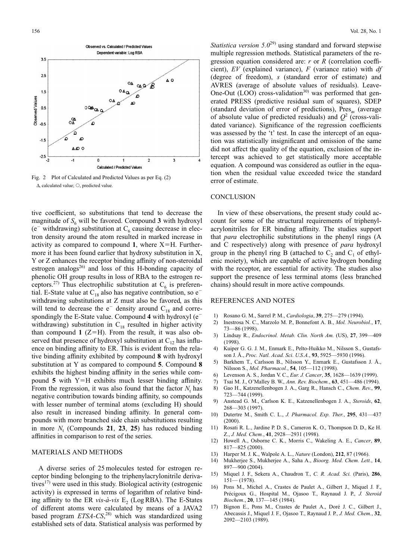

Fig. 2 Plot of Calculated and Predicted Values as per Eq. (2)  $\Lambda$  calculated value;  $\bigcirc$ , predicted value.

tive coefficient, so substitutions that tend to decrease the magnitude of  $S_6$  will be favored. Compound 3 with hydroxyl ( $e^-$  withdrawing) substitution at  $C_6$  causing decrease in electron density around the atom resulted in marked increase in activity as compared to compound 1, where  $X=H$ . Furthermore it has been found earlier that hydroxy substitution in X, Y or Z enhances the receptor binding affinity of non-steroidal estrogen analogs $^{26}$  and loss of this H-bonding capacity of phenolic OH group results in loss of RBA to the estrogen receptors.<sup>27)</sup> Thus electrophilic substitution at  $C_6$  is preferential. E-State value at  $C_{18}$  also has negative contribution, so  $e^{-}$ withdrawing substitutions at Z must also be favored, as this will tend to decrease the  $e^-$  density around  $C_{18}$  and correspondingly the E-State value. Compound **4** with hydroxyl (e withdrawing) substitution in  $C_{18}$  resulted in higher activity than compound  $1$  ( $Z=H$ ). From the result, it was also observed that presence of hydroxyl substitution at  $C_{12}$  has influence on binding affinity to ER. This is evident from the relative binding affinity exhibited by compound **8** with hydroxyl substitution at Y as compared to compound **5**. Compound **8** exhibits the highest binding affinity in the series while compound  $5$  with Y=H exhibits much lesser binding affinity. From the regression, it was also found that the factor  $N_t$  has negative contribution towards binding affinity, so compounds with lesser number of terminal atoms (excluding H) should also result in increased binding affinity. In general compounds with more branched side chain substitutions resulting in more  $N_t$  (Compounds 21, 23, 25) has reduced binding affinities in comparison to rest of the series.

## MATERIALS AND METHODS

A diverse series of 25 molecules tested for estrogen receptor binding belonging to the triphenylacrylonitrile derivatives<sup>17)</sup> were used in this study. Biological activity (estrogenic activity) is expressed in terms of logarithm of relative binding affinity to the ER *vis-à-vis* E<sub>2</sub> (Log RBA). The E-States of different atoms were calculated by means of a JAVA2 based program *ETSA-CS*, 28) which was standardized using established sets of data. Statistical analysis was performed by *Statistica version* 5.0<sup>29</sup> using standard and forward stepwise multiple regression methods. Statistical parameters of the regression equation considered are: *r* or *R* (correlation coefficient), *EV* (explained variance), *F* (variance ratio) with *df* (degree of freedom), *s* (standard error of estimate) and AVRES (average of absolute values of residuals). Leave-One-Out  $(LOO)$  cross-validation<sup>30)</sup> was performed that generated PRESS (predictive residual sum of squares), SDEP (standard deviation of error of predictions),  $Pres_{av}$  (average of absolute value of predicted residuals) and  $Q^2$  (cross-validated variance). Significance of the regression coefficients was assessed by the 't' test. In case the intercept of an equation was statistically insignificant and omission of the same did not affect the quality of the equation, exclusion of the intercept was achieved to get statistically more acceptable equation. A compound was considered as outlier in the equation when the residual value exceeded twice the standard error of estimate.

### **CONCLUSION**

In view of these observations, the present study could account for some of the structural requirements of triphenylacrylonitriles for ER binding affinity. The studies support that *para* electrophilic substitutions in the phenyl rings (A and C respectively) along with presence of *para* hydroxyl group in the phenyl ring B (attached to  $C_2$  and  $C_1$  of ethylenic moiety), which are capable of active hydrogen bonding with the receptor, are essential for activity. The studies also support the presence of less terminal atoms (less branched chains) should result in more active compounds.

## REFERENCES AND NOTES

- 1) Rosano G. M., Sarrel P. M., *Cardiologia*, **39**, 275—279 (1994).
- 2) Inestrosa N. C., Marzolo M. P., Bonnefont A. B., *Mol. Neurobiol.*, **17**, 73—86 (1998).
- 3) Lindsay R., *Endocrinol. Metab. Clin. North Am.* (US), **27**, 399—409 (1998).
- 4) Kuiper G. G. J. M., Enmark E., Pelto-Huikko M., Nilsson S., Gustafsson J. Å., *Proc. Natl. Acad. Sci. U.S.A.*, **93**, 5925—5930 (1996).
- 5) Barkhem T., Carlsson B., Nilsson Y., Enmark E., Gustafsson J. Å., Nilsson S., *Mol. Pharmacol.*, **54**, 105—112 (1998).
- 6) Levenson A. S., Jordan V. C., *Eur. J. Cancer*, **35**, 1628—1639 (1999).
- 7) Tsai M. J., O'Malley B. W., *Ann. Rev. Biochem.*, **63**, 451—486 (1994).
- 8) Gao H., Katzenellenbogen J. A., Garg R., Hansch C., *Chem. Rev.*, **99**, 723—744 (1999).
- 9) Anstead G. M., Carlson K. E., Katzenellenbogen J. A., *Steroids*, **62**, 268—303 (1997).
- 10) Dutertre M., Smith C. L., *J. Pharmacol. Exp. Ther.*, **295**, 431—437 (2000).
- 11) Rosati R. L., Jardine P. D. S., Cameron K. O., Thompson D. D., Ke H. Z., *J. Med. Chem.*, **41**, 2928—2931 (1998).
- 12) Howell A., Osborne C. K., Morris C., Wakeling A. E., *Cancer*, **89**, 817—825 (2000).
- 13) Harper M. J. K., Walpole A. L., *Nature* (London), **212**, 87 (1966).
- 14) Mukherjee S., Mukherjee A., Saha A., *Bioorg. Med. Chem. Lett.*, **14**, 897—900 (2004).
- 15) Miquel J. F., Sekera A., Chaudron T., *C. R. Acad. Sci.* (Paris), **286**,  $151 - (1978)$
- 16) Pons M., Michel A., Crastes de Paulet A., Gilbert J., Miquel J. F., Précigoux G., Hospital M., Ojasoo T., Raynaud J. P., *J. Steroid Biochem.*, **20**, 137—145 (1984).
- 17) Bignon E., Pons M., Crastes de Paulet A., Doré J. C., Gilbert J., Abecassis J., Miquel J. F., Ojasoo T., Raynaud J. P., *J. Med. Chem.*, **32**, 2092—2103 (1989).